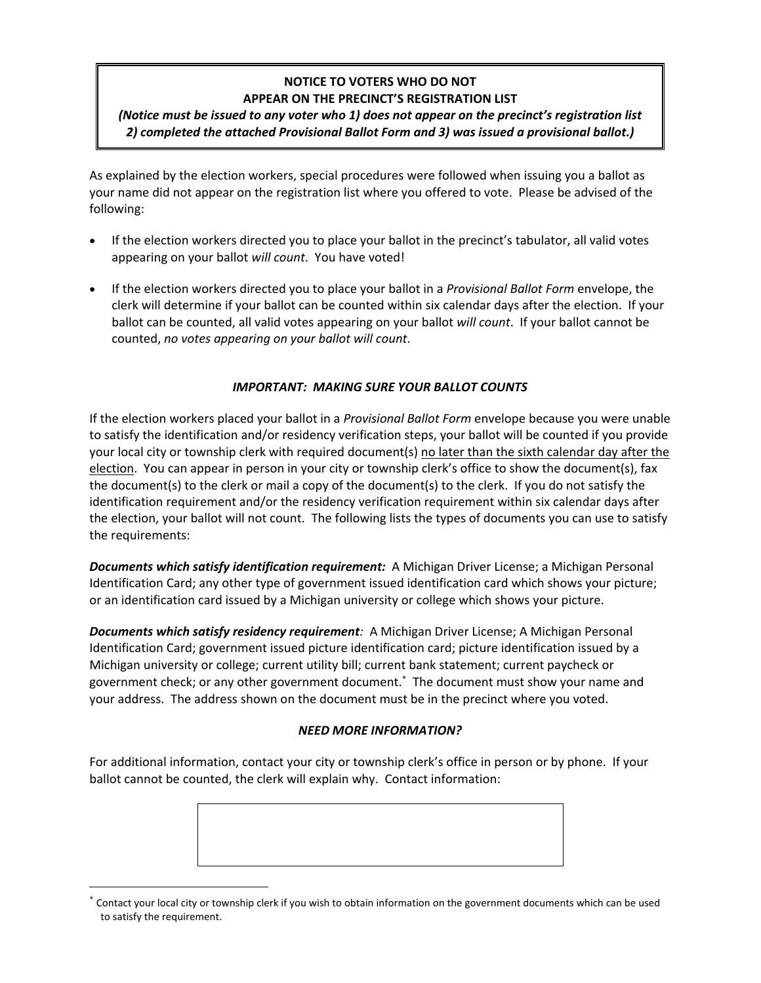## **NOTICE TO VOTERS WHO DO NOT APPEAR ON THE PRECINCT'S REGISTRATION LIST**

## *(Notice must be issued to any voter who 1) does not appear on the precinct's registration list 2) completed the attached Provisional Ballot Form and 3) was issued a provisional ballot.)*

As explained by the election workers, special procedures were followed when issuing you a ballot as your name did not appear on the registration list where you offered to vote. Please be advised of the following:

- If the election workers directed you to place your ballot in the precinct's tabulator, all valid votes appearing on your ballot *will count*. You have voted!
- If the election workers directed you to place your ballot in a *Provisional Ballot Form* envelope, the clerk will determine if your ballot can be counted within six calendar days after the election. If your ballot can be counted, all valid votes appearing on your ballot *will count*. If your ballot cannot be counted, *no votes appearing on your ballot will count*.

### *IMPORTANT: MAKING SURE YOUR BALLOT COUNTS*

If the election workers placed your ballot in a *Provisional Ballot Form* envelope because you were unable to satisfy the identification and/or residency verification steps, your ballot will be counted if you provide your local city or township clerk with required document(s) no later than the sixth calendar day after the election. You can appear in person in your city or township clerk's office to show the document(s), fax the document(s) to the clerk or mail a copy of the document(s) to the clerk. If you do not satisfy the identification requirement and/or the residency verification requirement within six calendar days after the election, your ballot will not count. The following lists the types of documents you can use to satisfy the requirements:

*Documents which satisfy identification requirement:* A Michigan Driver License; a Michigan Personal Identification Card; any other type of government issued identification card which shows your picture; or an identification card issued by a Michigan university or college which shows your picture.

*Documents which satisfy residency requirement:* A Michigan Driver License; A Michigan Personal Identification Card; government issued picture identification card; picture identification issued by a Michigan university or college; current utility bill; current bank statement; current paycheck or government check; or any other government document. The document must show your name and your address. The address shown on the document must be in the precinct where you voted.

## *NEED MORE INFORMATION?*

For additional information, contact your city or township clerk's office in person or by phone. If your ballot cannot be counted, the clerk will explain why. Contact information:



Contact your local city or township clerk if you wish to obtain information on the government documents which can be used to satisfy the requirement.

 $\overline{a}$